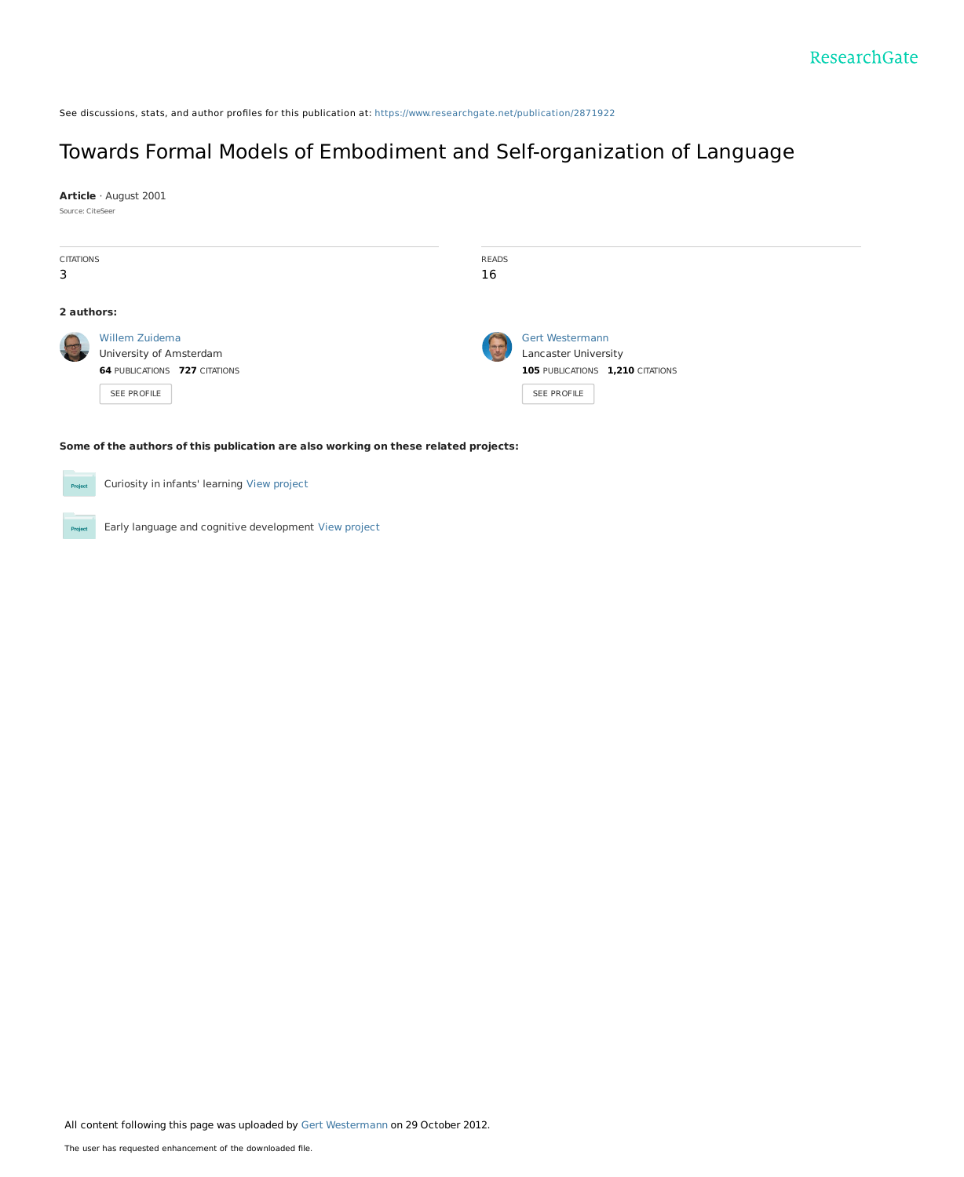See discussions, stats, and author profiles for this publication at: [https://www.researchgate.net/publication/2871922](https://www.researchgate.net/publication/2871922_Towards_Formal_Models_of_Embodiment_and_Self-organization_of_Language?enrichId=rgreq-b6f9ad8c3dc742d9ae749053f02bd47a-XXX&enrichSource=Y292ZXJQYWdlOzI4NzE5MjI7QVM6OTcxMDMxODMzNTE4MTFAMTQwMDE2MjYxMjE3Mg%3D%3D&el=1_x_2&_esc=publicationCoverPdf)

# Towards Formal Models of Embodiment and [Self-organization](https://www.researchgate.net/publication/2871922_Towards_Formal_Models_of_Embodiment_and_Self-organization_of_Language?enrichId=rgreq-b6f9ad8c3dc742d9ae749053f02bd47a-XXX&enrichSource=Y292ZXJQYWdlOzI4NzE5MjI7QVM6OTcxMDMxODMzNTE4MTFAMTQwMDE2MjYxMjE3Mg%3D%3D&el=1_x_3&_esc=publicationCoverPdf) of Language

**Article** · August 2001

Source: CiteSeer

| <b>CITATIONS</b><br>3    |                                                                                                  | <b>READS</b><br>16 |                                                                                            |
|--------------------------|--------------------------------------------------------------------------------------------------|--------------------|--------------------------------------------------------------------------------------------|
| 2 authors:<br>$\sqrt{2}$ | Willem Zuidema<br>University of Amsterdam<br>64 PUBLICATIONS 727 CITATIONS<br><b>SEE PROFILE</b> |                    | Gert Westermann<br>Lancaster University<br>105 PUBLICATIONS 1,210 CITATIONS<br>SEE PROFILE |

#### **Some of the authors of this publication are also working on these related projects:**

Curiosity in infants' learning View [project](https://www.researchgate.net/project/Curiosity-in-infants-learning-2?enrichId=rgreq-b6f9ad8c3dc742d9ae749053f02bd47a-XXX&enrichSource=Y292ZXJQYWdlOzI4NzE5MjI7QVM6OTcxMDMxODMzNTE4MTFAMTQwMDE2MjYxMjE3Mg%3D%3D&el=1_x_9&_esc=publicationCoverPdf) Project

Early language and cognitive development View [project](https://www.researchgate.net/project/Early-language-and-cognitive-development?enrichId=rgreq-b6f9ad8c3dc742d9ae749053f02bd47a-XXX&enrichSource=Y292ZXJQYWdlOzI4NzE5MjI7QVM6OTcxMDMxODMzNTE4MTFAMTQwMDE2MjYxMjE3Mg%3D%3D&el=1_x_9&_esc=publicationCoverPdf) Projec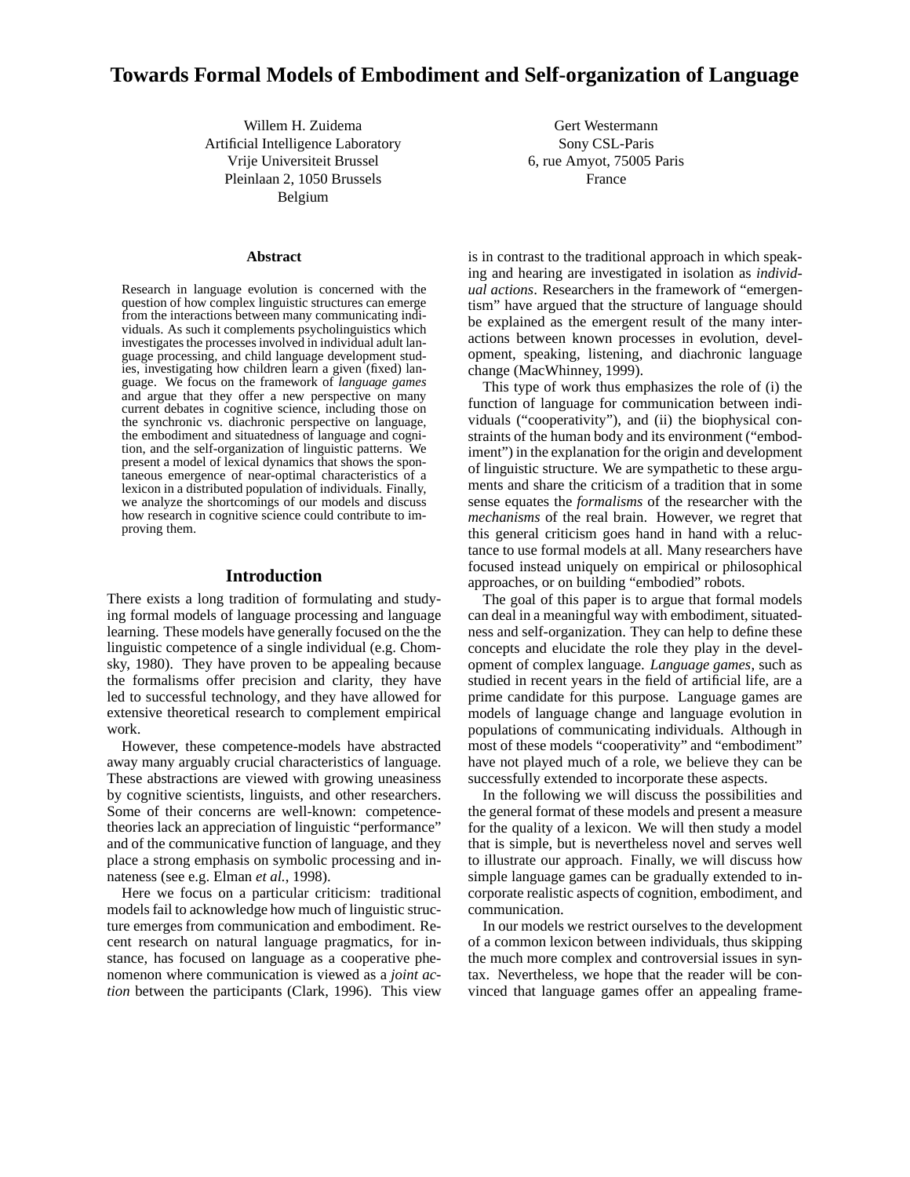# **Towards Formal Models of Embodiment and Self-organization of Language**

Willem H. Zuidema Artificial Intelligence Laboratory Vrije Universiteit Brussel Pleinlaan 2, 1050 Brussels Belgium

#### **Abstract**

Research in language evolution is concerned with the question of how complex linguistic structures can emerge from the interactions between many communicating individuals. As such it complements psycholinguistics which investigates the processes involved in individual adult language processing, and child language development studies, investigating how children learn a given (fixed) language. We focus on the framework of *language games* and argue that they offer a new perspective on many current debates in cognitive science, including those on the synchronic vs. diachronic perspective on language, the embodiment and situatedness of language and cognition, and the self-organization of linguistic patterns. We present a model of lexical dynamics that shows the spontaneous emergence of near-optimal characteristics of a lexicon in a distributed population of individuals. Finally, we analyze the shortcomings of our models and discuss how research in cognitive science could contribute to improving them.

### **Introduction**

There exists a long tradition of formulating and studying formal models of language processing and language learning. These models have generally focused on the the linguistic competence of a single individual (e.g. Chomsky, 1980). They have proven to be appealing because the formalisms offer precision and clarity, they have led to successful technology, and they have allowed for extensive theoretical research to complement empirical work.

However, these competence-models have abstracted away many arguably crucial characteristics of language. These abstractions are viewed with growing uneasiness by cognitive scientists, linguists, and other researchers. Some of their concerns are well-known: competencetheories lack an appreciation of linguistic "performance" and of the communicative function of language, and they place a strong emphasis on symbolic processing and innateness (see e.g. Elman *et al.*, 1998).

Here we focus on a particular criticism: traditional models fail to acknowledge how much of linguistic structure emerges from communication and embodiment. Recent research on natural language pragmatics, for instance, has focused on language as a cooperative phenomenon where communication is viewed as a *joint action* between the participants (Clark, 1996). This view

Gert Westermann Sony CSL-Paris 6, rue Amyot, 75005 Paris France

is in contrast to the traditional approach in which speaking and hearing are investigated in isolation as *individual actions*. Researchers in the framework of "emergentism" have argued that the structure of language should be explained as the emergent result of the many interactions between known processes in evolution, development, speaking, listening, and diachronic language change (MacWhinney, 1999).

This type of work thus emphasizes the role of (i) the function of language for communication between individuals ("cooperativity"), and (ii) the biophysical constraints of the human body and its environment ("embodiment") in the explanation for the origin and development of linguistic structure. We are sympathetic to these arguments and share the criticism of a tradition that in some sense equates the *formalisms* of the researcher with the *mechanisms* of the real brain. However, we regret that this general criticism goes hand in hand with a reluctance to use formal models at all. Many researchers have focused instead uniquely on empirical or philosophical approaches, or on building "embodied" robots.

The goal of this paper is to argue that formal models can deal in a meaningful way with embodiment, situatedness and self-organization. They can help to define these concepts and elucidate the role they play in the development of complex language. *Language games*, such as studied in recent years in the field of artificial life, are a prime candidate for this purpose. Language games are models of language change and language evolution in populations of communicating individuals. Although in most of these models "cooperativity" and "embodiment" have not played much of a role, we believe they can be successfully extended to incorporate these aspects.

In the following we will discuss the possibilities and the general format of these models and present a measure for the quality of a lexicon. We will then study a model that is simple, but is nevertheless novel and serves well to illustrate our approach. Finally, we will discuss how simple language games can be gradually extended to incorporate realistic aspects of cognition, embodiment, and communication.

In our models we restrict ourselves to the development of a common lexicon between individuals, thus skipping the much more complex and controversial issues in syntax. Nevertheless, we hope that the reader will be convinced that language games offer an appealing frame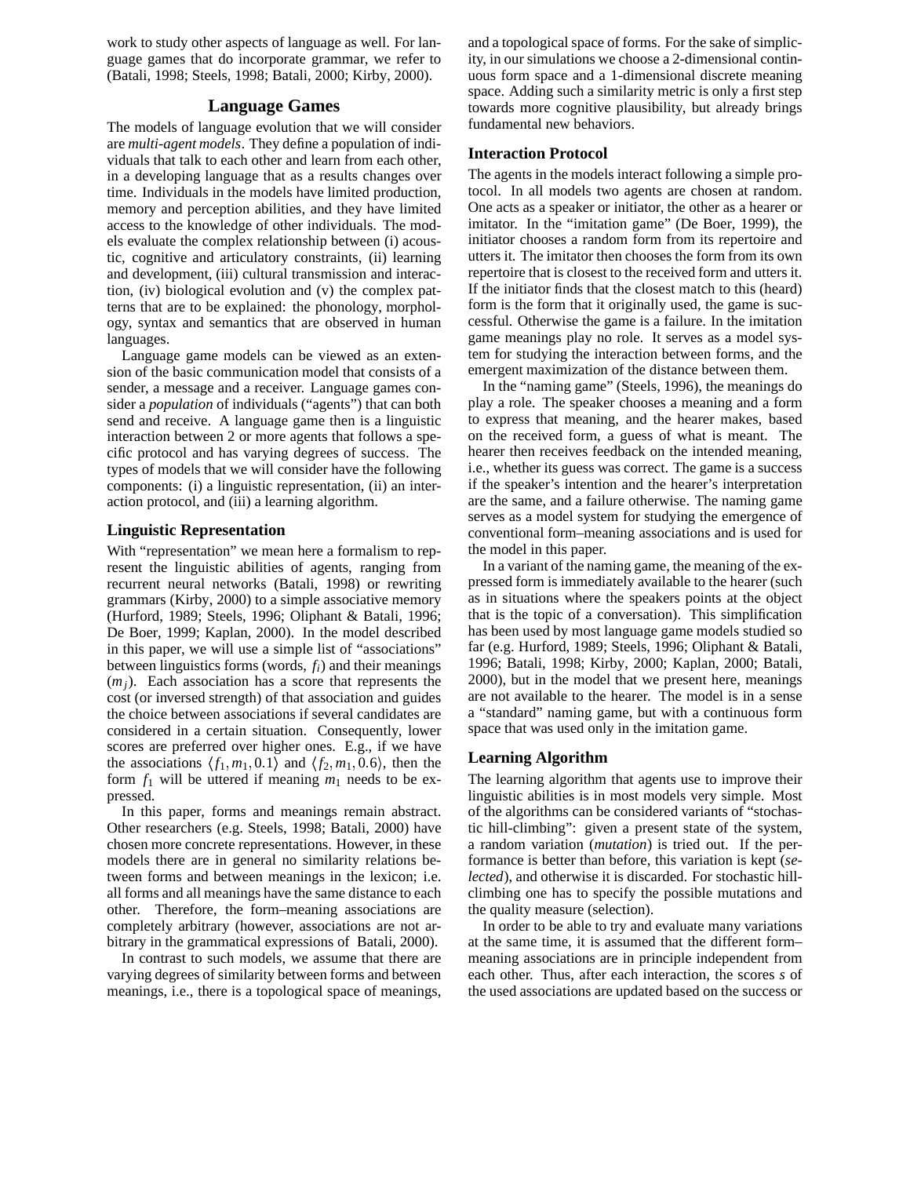work to study other aspects of language as well. For language games that do incorporate grammar, we refer to (Batali, 1998; Steels, 1998; Batali, 2000; Kirby, 2000).

# **Language Games**

The models of language evolution that we will consider are *multi-agent models*. They define a population of individuals that talk to each other and learn from each other, in a developing language that as a results changes over time. Individuals in the models have limited production, memory and perception abilities, and they have limited access to the knowledge of other individuals. The models evaluate the complex relationship between (i) acoustic, cognitive and articulatory constraints, (ii) learning and development, (iii) cultural transmission and interaction, (iv) biological evolution and (v) the complex patterns that are to be explained: the phonology, morphology, syntax and semantics that are observed in human languages.

Language game models can be viewed as an extension of the basic communication model that consists of a sender, a message and a receiver. Language games consider a *population* of individuals ("agents") that can both send and receive. A language game then is a linguistic interaction between 2 or more agents that follows a specific protocol and has varying degrees of success. The types of models that we will consider have the following components: (i) a linguistic representation, (ii) an interaction protocol, and (iii) a learning algorithm.

### **Linguistic Representation**

With "representation" we mean here a formalism to represent the linguistic abilities of agents, ranging from recurrent neural networks (Batali, 1998) or rewriting grammars (Kirby, 2000) to a simple associative memory (Hurford, 1989; Steels, 1996; Oliphant & Batali, 1996; De Boer, 1999; Kaplan, 2000). In the model described in this paper, we will use a simple list of "associations" between linguistics forms (words, *fi*) and their meanings (*mj*). Each association has a score that represents the cost (or inversed strength) of that association and guides the choice between associations if several candidates are considered in a certain situation. Consequently, lower scores are preferred over higher ones. E.g., if we have the associations  $\langle f_1, m_1, 0.1 \rangle$  and  $\langle f_2, m_1, 0.6 \rangle$ , then the form  $f_1$  will be uttered if meaning  $m_1$  needs to be expressed.

In this paper, forms and meanings remain abstract. Other researchers (e.g. Steels, 1998; Batali, 2000) have chosen more concrete representations. However, in these models there are in general no similarity relations between forms and between meanings in the lexicon; i.e. all forms and all meanings have the same distance to each other. Therefore, the form–meaning associations are completely arbitrary (however, associations are not arbitrary in the grammatical expressions of Batali, 2000).

In contrast to such models, we assume that there are varying degrees of similarity between forms and between meanings, i.e., there is a topological space of meanings, and a topological space of forms. For the sake of simplicity, in our simulations we choose a 2-dimensional continuous form space and a 1-dimensional discrete meaning space. Adding such a similarity metric is only a first step towards more cognitive plausibility, but already brings fundamental new behaviors.

#### **Interaction Protocol**

The agents in the models interact following a simple protocol. In all models two agents are chosen at random. One acts as a speaker or initiator, the other as a hearer or imitator. In the "imitation game" (De Boer, 1999), the initiator chooses a random form from its repertoire and utters it. The imitator then chooses the form from its own repertoire that is closest to the received form and utters it. If the initiator finds that the closest match to this (heard) form is the form that it originally used, the game is successful. Otherwise the game is a failure. In the imitation game meanings play no role. It serves as a model system for studying the interaction between forms, and the emergent maximization of the distance between them.

In the "naming game" (Steels, 1996), the meanings do play a role. The speaker chooses a meaning and a form to express that meaning, and the hearer makes, based on the received form, a guess of what is meant. The hearer then receives feedback on the intended meaning, i.e., whether its guess was correct. The game is a success if the speaker's intention and the hearer's interpretation are the same, and a failure otherwise. The naming game serves as a model system for studying the emergence of conventional form–meaning associations and is used for the model in this paper.

In a variant of the naming game, the meaning of the expressed form is immediately available to the hearer (such as in situations where the speakers points at the object that is the topic of a conversation). This simplification has been used by most language game models studied so far (e.g. Hurford, 1989; Steels, 1996; Oliphant & Batali, 1996; Batali, 1998; Kirby, 2000; Kaplan, 2000; Batali, 2000), but in the model that we present here, meanings are not available to the hearer. The model is in a sense a "standard" naming game, but with a continuous form space that was used only in the imitation game.

# **Learning Algorithm**

The learning algorithm that agents use to improve their linguistic abilities is in most models very simple. Most of the algorithms can be considered variants of "stochastic hill-climbing": given a present state of the system, a random variation (*mutation*) is tried out. If the performance is better than before, this variation is kept (*selected*), and otherwise it is discarded. For stochastic hillclimbing one has to specify the possible mutations and the quality measure (selection).

In order to be able to try and evaluate many variations at the same time, it is assumed that the different form– meaning associations are in principle independent from each other. Thus, after each interaction, the scores *s* of the used associations are updated based on the success or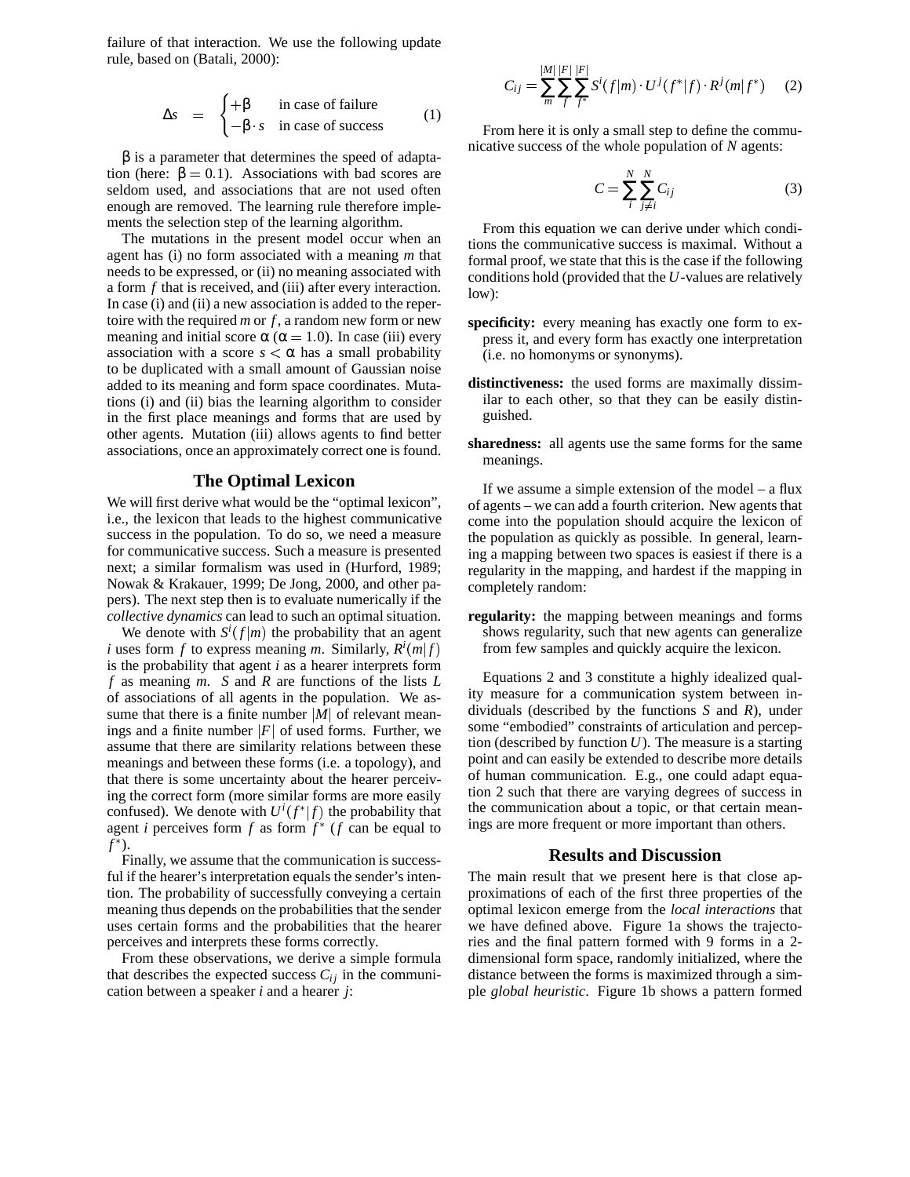failure of that interaction. We use the following update rule, based on (Batali, 2000):

$$
\Delta s = \begin{cases}\n+\beta & \text{in case of failure} \\
-\beta \cdot s & \text{in case of success}\n\end{cases}
$$
\n(1)

 $β$  is a parameter that determines the speed of adaptation (here:  $\beta = 0.1$ ). Associations with bad scores are seldom used, and associations that are not used often enough are removed. The learning rule therefore implements the selection step of the learning algorithm.

The mutations in the present model occur when an agent has (i) no form associated with a meaning *m* that needs to be expressed, or (ii) no meaning associated with a form *f* that is received, and (iii) after every interaction. In case (i) and (ii) a new association is added to the repertoire with the required *m* or *f* , a random new form or new meaning and initial score  $\alpha$  ( $\alpha = 1.0$ ). In case (iii) every association with a score  $s < \alpha$  has a small probability to be duplicated with a small amount of Gaussian noise added to its meaning and form space coordinates. Mutations (i) and (ii) bias the learning algorithm to consider in the first place meanings and forms that are used by other agents. Mutation (iii) allows agents to find better associations, once an approximately correct one is found.

# **The Optimal Lexicon**

We will first derive what would be the "optimal lexicon", i.e., the lexicon that leads to the highest communicative success in the population. To do so, we need a measure for communicative success. Such a measure is presented next; a similar formalism was used in (Hurford, 1989; Nowak & Krakauer, 1999; De Jong, 2000, and other papers). The next step then is to evaluate numerically if the *collective dynamics* can lead to such an optimal situation.

We denote with  $S^{i}(f|m)$  the probability that an agent *i* uses form *f* to express meaning *m*. Similarly,  $R^i(m|f)$ is the probability that agent *i* as a hearer interprets form *f* as meaning *m*. *S* and *R* are functions of the lists *L* of associations of all agents in the population. We assume that there is a finite number  $|M|$  of relevant meanings and a finite number  $|F|$  of used forms. Further, we assume that there are similarity relations between these meanings and between these forms (i.e. a topology), and that there is some uncertainty about the hearer perceiving the correct form (more similar forms are more easily confused). We denote with  $U^{i}(f^{*}|f)$  the probability that agent *i* perceives form  $f$  as form  $f^*$  ( $f$  can be equal to *f* ).

Finally, we assume that the communication is successful if the hearer's interpretation equals the sender's intention. The probability of successfully conveying a certain meaning thus depends on the probabilities that the sender uses certain forms and the probabilities that the hearer perceives and interprets these forms correctly.

From these observations, we derive a simple formula that describes the expected success  $C_{ij}$  in the communication between a speaker *i* and a hearer *j*:

$$
C_{ij} = \sum_{m}^{|M|} \sum_{f}^{|F|} \sum_{f^*}^{|F|} S^i(f|m) \cdot U^j(f^*|f) \cdot R^j(m|f^*) \qquad (2)
$$

From here it is only a small step to define the communicative success of the whole population of *N* agents:

$$
C = \sum_{i}^{N} \sum_{j \neq i}^{N} C_{ij}
$$
 (3)

From this equation we can derive under which conditions the communicative success is maximal. Without a formal proof, we state that this is the case if the following conditions hold (provided that the *U*-values are relatively low):

- **specificity:** every meaning has exactly one form to express it, and every form has exactly one interpretation (i.e. no homonyms or synonyms).
- **distinctiveness:** the used forms are maximally dissimilar to each other, so that they can be easily distinguished.
- **sharedness:** all agents use the same forms for the same meanings.

If we assume a simple extension of the model  $-$  a flux of agents – we can add a fourth criterion. New agents that come into the population should acquire the lexicon of the population as quickly as possible. In general, learning a mapping between two spaces is easiest if there is a regularity in the mapping, and hardest if the mapping in completely random:

**regularity:** the mapping between meanings and forms shows regularity, such that new agents can generalize from few samples and quickly acquire the lexicon.

Equations 2 and 3 constitute a highly idealized quality measure for a communication system between individuals (described by the functions *S* and *R*), under some "embodied" constraints of articulation and perception (described by function *U*). The measure is a starting point and can easily be extended to describe more details of human communication. E.g., one could adapt equation 2 such that there are varying degrees of success in the communication about a topic, or that certain meanings are more frequent or more important than others.

### **Results and Discussion**

The main result that we present here is that close approximations of each of the first three properties of the optimal lexicon emerge from the *local interactions* that we have defined above. Figure 1a shows the trajectories and the final pattern formed with 9 forms in a 2 dimensional form space, randomly initialized, where the distance between the forms is maximized through a simple *global heuristic*. Figure 1b shows a pattern formed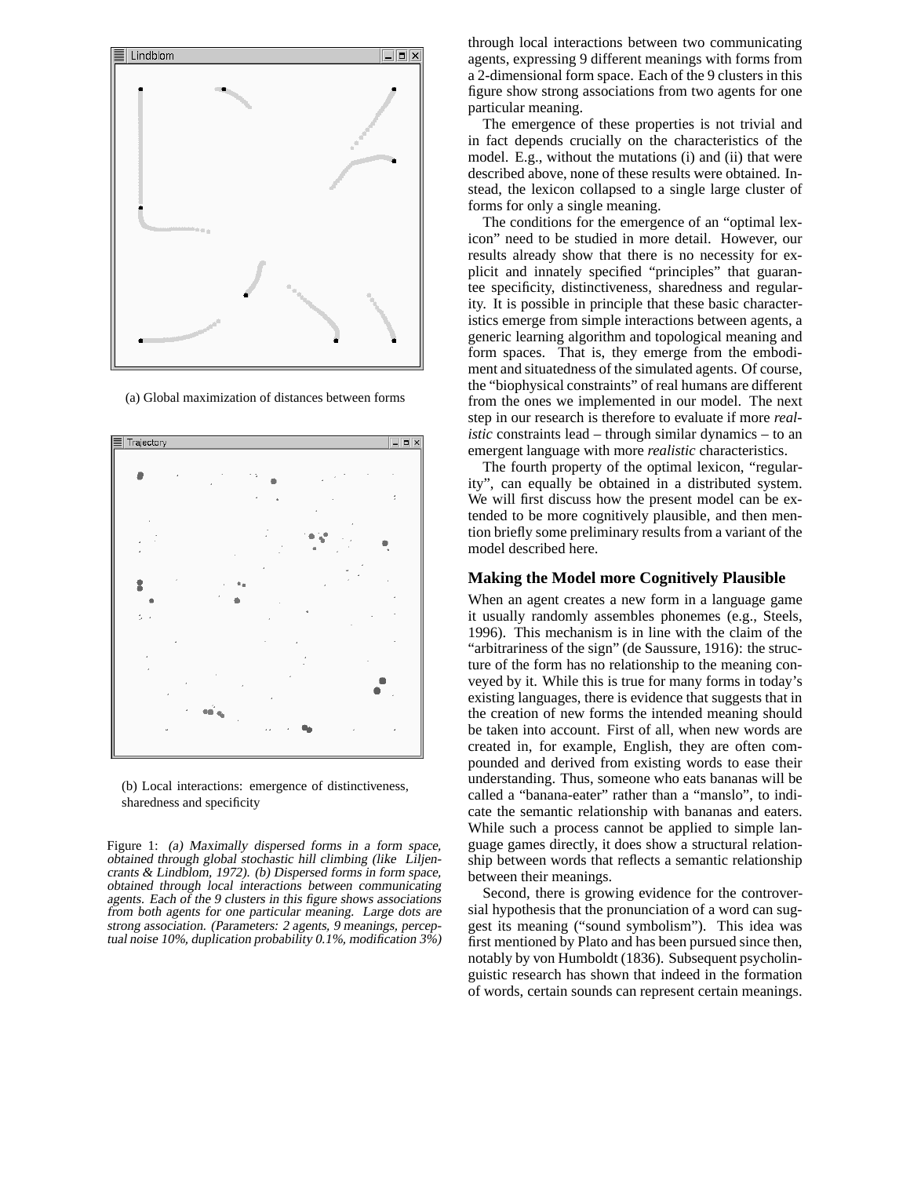

(a) Global maximization of distances between forms



(b) Local interactions: emergence of distinctiveness, sharedness and specificity

Figure 1: (a) Maximally dispersed forms in <sup>a</sup> form space, obtained through global stochastic hill climbing (like Liljencrants & Lindblom, 1972). (b) Dispersed forms in form space, obtained through local interactions between communicating agents. Each of the 9 clusters in this figure shows associations from both agents for one particular meaning. Large dots are strong association. (Parameters: 2 agents, 9 meanings, perceptual noise 10%, duplication probability 0.1%, modification  $3\%$ ) through local interactions between two communicating agents, expressing 9 different meanings with forms from a 2-dimensional form space. Each of the 9 clusters in this figure show strong associations from two agents for one particular meaning.

The emergence of these properties is not trivial and in fact depends crucially on the characteristics of the model. E.g., without the mutations (i) and (ii) that were described above, none of these results were obtained. Instead, the lexicon collapsed to a single large cluster of forms for only a single meaning.

The conditions for the emergence of an "optimal lexicon" need to be studied in more detail. However, our results already show that there is no necessity for explicit and innately specified "principles" that guarantee specificity, distinctiveness, sharedness and regularity. It is possible in principle that these basic characteristics emerge from simple interactions between agents, a generic learning algorithm and topological meaning and form spaces. That is, they emerge from the embodiment and situatedness of the simulated agents. Of course, the "biophysical constraints" of real humans are different from the ones we implemented in our model. The next step in our research is therefore to evaluate if more *realistic* constraints lead – through similar dynamics – to an emergent language with more *realistic* characteristics.

The fourth property of the optimal lexicon, "regularity", can equally be obtained in a distributed system. We will first discuss how the present model can be extended to be more cognitively plausible, and then mention briefly some preliminary results from a variant of the model described here.

#### **Making the Model more Cognitively Plausible**

When an agent creates a new form in a language game it usually randomly assembles phonemes (e.g., Steels, 1996). This mechanism is in line with the claim of the "arbitrariness of the sign" (de Saussure, 1916): the structure of the form has no relationship to the meaning conveyed by it. While this is true for many forms in today's existing languages, there is evidence that suggests that in the creation of new forms the intended meaning should be taken into account. First of all, when new words are created in, for example, English, they are often compounded and derived from existing words to ease their understanding. Thus, someone who eats bananas will be called a "banana-eater" rather than a "manslo", to indicate the semantic relationship with bananas and eaters. While such a process cannot be applied to simple language games directly, it does show a structural relationship between words that reflects a semantic relationship between their meanings.

Second, there is growing evidence for the controversial hypothesis that the pronunciation of a word can suggest its meaning ("sound symbolism"). This idea was first mentioned by Plato and has been pursued since then, notably by von Humboldt (1836). Subsequent psycholinguistic research has shown that indeed in the formation of words, certain sounds can represent certain meanings.